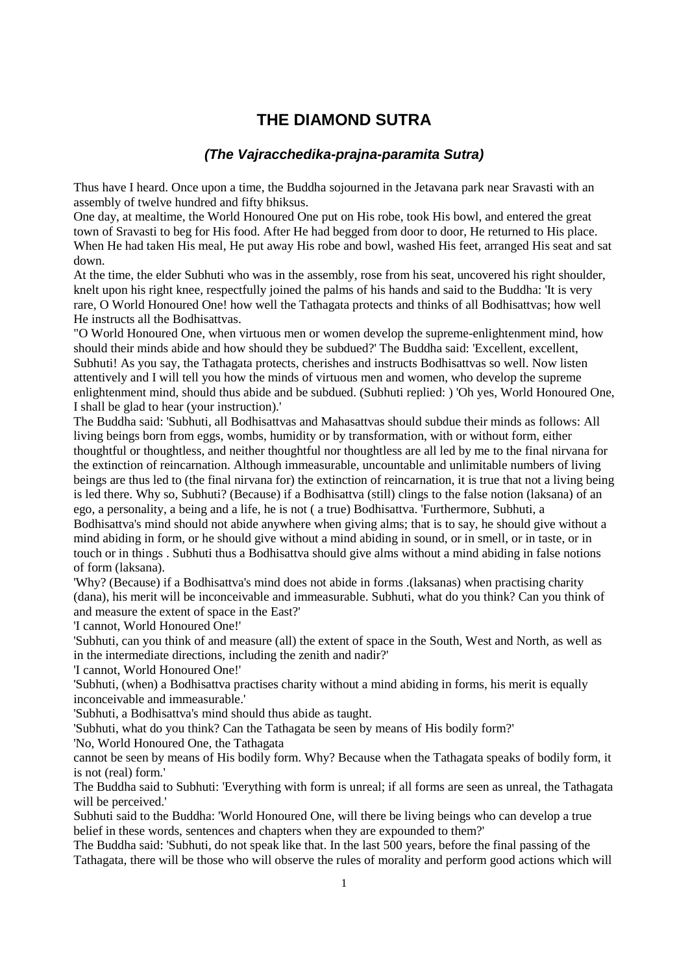## **THE DIAMOND SUTRA**

## **(The Vajracchedika-prajna-paramita Sutra)**

Thus have I heard. Once upon a time, the Buddha sojourned in the Jetavana park near Sravasti with an assembly of twelve hundred and fifty bhiksus.

One day, at mealtime, the World Honoured One put on His robe, took His bowl, and entered the great town of Sravasti to beg for His food. After He had begged from door to door, He returned to His place. When He had taken His meal, He put away His robe and bowl, washed His feet, arranged His seat and sat down.

At the time, the elder Subhuti who was in the assembly, rose from his seat, uncovered his right shoulder, knelt upon his right knee, respectfully joined the palms of his hands and said to the Buddha: 'It is very rare, O World Honoured One! how well the Tathagata protects and thinks of all Bodhisattvas; how well He instructs all the Bodhisattvas.

"O World Honoured One, when virtuous men or women develop the supreme-enlightenment mind, how should their minds abide and how should they be subdued?' The Buddha said: 'Excellent, excellent, Subhuti! As you say, the Tathagata protects, cherishes and instructs Bodhisattvas so well. Now listen attentively and I will tell you how the minds of virtuous men and women, who develop the supreme enlightenment mind, should thus abide and be subdued. (Subhuti replied: ) 'Oh yes, World Honoured One, I shall be glad to hear (your instruction).'

The Buddha said: 'Subhuti, all Bodhisattvas and Mahasattvas should subdue their minds as follows: All living beings born from eggs, wombs, humidity or by transformation, with or without form, either thoughtful or thoughtless, and neither thoughtful nor thoughtless are all led by me to the final nirvana for the extinction of reincarnation. Although immeasurable, uncountable and unlimitable numbers of living beings are thus led to (the final nirvana for) the extinction of reincarnation, it is true that not a living being is led there. Why so, Subhuti? (Because) if a Bodhisattva (still) clings to the false notion (laksana) of an ego, a personality, a being and a life, he is not ( a true) Bodhisattva. 'Furthermore, Subhuti, a Bodhisattva's mind should not abide anywhere when giving alms; that is to say, he should give without a mind abiding in form, or he should give without a mind abiding in sound, or in smell, or in taste, or in touch or in things . Subhuti thus a Bodhisattva should give alms without a mind abiding in false notions of form (laksana).

'Why? (Because) if a Bodhisattva's mind does not abide in forms .(laksanas) when practising charity (dana), his merit will be inconceivable and immeasurable. Subhuti, what do you think? Can you think of and measure the extent of space in the East?'

'I cannot, World Honoured One!'

'Subhuti, can you think of and measure (all) the extent of space in the South, West and North, as well as in the intermediate directions, including the zenith and nadir?'

'I cannot, World Honoured One!'

'Subhuti, (when) a Bodhisattva practises charity without a mind abiding in forms, his merit is equally inconceivable and immeasurable.'

'Subhuti, a Bodhisattva's mind should thus abide as taught.

'Subhuti, what do you think? Can the Tathagata be seen by means of His bodily form?'

'No, World Honoured One, the Tathagata

cannot be seen by means of His bodily form. Why? Because when the Tathagata speaks of bodily form, it is not (real) form.'

The Buddha said to Subhuti: 'Everything with form is unreal; if all forms are seen as unreal, the Tathagata will be perceived.'

Subhuti said to the Buddha: 'World Honoured One, will there be living beings who can develop a true belief in these words, sentences and chapters when they are expounded to them?'

The Buddha said: 'Subhuti, do not speak like that. In the last 500 years, before the final passing of the Tathagata, there will be those who will observe the rules of morality and perform good actions which will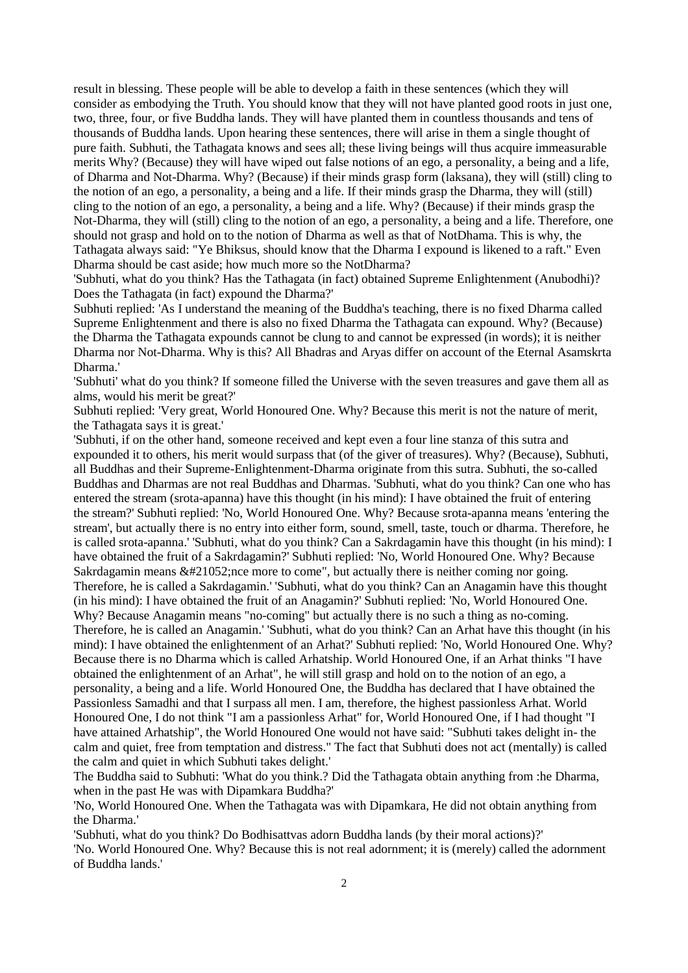result in blessing. These people will be able to develop a faith in these sentences (which they will consider as embodying the Truth. You should know that they will not have planted good roots in just one, two, three, four, or five Buddha lands. They will have planted them in countless thousands and tens of thousands of Buddha lands. Upon hearing these sentences, there will arise in them a single thought of pure faith. Subhuti, the Tathagata knows and sees all; these living beings will thus acquire immeasurable merits Why? (Because) they will have wiped out false notions of an ego, a personality, a being and a life, of Dharma and Not-Dharma. Why? (Because) if their minds grasp form (laksana), they will (still) cling to the notion of an ego, a personality, a being and a life. If their minds grasp the Dharma, they will (still) cling to the notion of an ego, a personality, a being and a life. Why? (Because) if their minds grasp the Not-Dharma, they will (still) cling to the notion of an ego, a personality, a being and a life. Therefore, one should not grasp and hold on to the notion of Dharma as well as that of NotDhama. This is why, the Tathagata always said: "Ye Bhiksus, should know that the Dharma I expound is likened to a raft." Even Dharma should be cast aside; how much more so the NotDharma?

'Subhuti, what do you think? Has the Tathagata (in fact) obtained Supreme Enlightenment (Anubodhi)? Does the Tathagata (in fact) expound the Dharma?'

Subhuti replied: 'As I understand the meaning of the Buddha's teaching, there is no fixed Dharma called Supreme Enlightenment and there is also no fixed Dharma the Tathagata can expound. Why? (Because) the Dharma the Tathagata expounds cannot be clung to and cannot be expressed (in words); it is neither Dharma nor Not-Dharma. Why is this? All Bhadras and Aryas differ on account of the Eternal Asamskrta Dharma.'

'Subhuti' what do you think? If someone filled the Universe with the seven treasures and gave them all as alms, would his merit be great?'

Subhuti replied: 'Very great, World Honoured One. Why? Because this merit is not the nature of merit, the Tathagata says it is great.'

'Subhuti, if on the other hand, someone received and kept even a four line stanza of this sutra and expounded it to others, his merit would surpass that (of the giver of treasures). Why? (Because), Subhuti, all Buddhas and their Supreme-Enlightenment-Dharma originate from this sutra. Subhuti, the so-called Buddhas and Dharmas are not real Buddhas and Dharmas. 'Subhuti, what do you think? Can one who has entered the stream (srota-apanna) have this thought (in his mind): I have obtained the fruit of entering the stream?' Subhuti replied: 'No, World Honoured One. Why? Because srota-apanna means 'entering the stream', but actually there is no entry into either form, sound, smell, taste, touch or dharma. Therefore, he is called srota-apanna.' 'Subhuti, what do you think? Can a Sakrdagamin have this thought (in his mind): I have obtained the fruit of a Sakrdagamin?' Subhuti replied: 'No, World Honoured One. Why? Because Sakrdagamin means  $&\#21052$ ;nce more to come", but actually there is neither coming nor going. Therefore, he is called a Sakrdagamin.' 'Subhuti, what do you think? Can an Anagamin have this thought (in his mind): I have obtained the fruit of an Anagamin?' Subhuti replied: 'No, World Honoured One. Why? Because Anagamin means "no-coming" but actually there is no such a thing as no-coming. Therefore, he is called an Anagamin.' 'Subhuti, what do you think? Can an Arhat have this thought (in his mind): I have obtained the enlightenment of an Arhat?' Subhuti replied: 'No, World Honoured One. Why? Because there is no Dharma which is called Arhatship. World Honoured One, if an Arhat thinks "I have obtained the enlightenment of an Arhat", he will still grasp and hold on to the notion of an ego, a personality, a being and a life. World Honoured One, the Buddha has declared that I have obtained the Passionless Samadhi and that I surpass all men. I am, therefore, the highest passionless Arhat. World Honoured One, I do not think "I am a passionless Arhat" for, World Honoured One, if I had thought "I have attained Arhatship", the World Honoured One would not have said: "Subhuti takes delight in- the calm and quiet, free from temptation and distress." The fact that Subhuti does not act (mentally) is called the calm and quiet in which Subhuti takes delight.'

The Buddha said to Subhuti: 'What do you think.? Did the Tathagata obtain anything from :he Dharma, when in the past He was with Dipamkara Buddha?'

'No, World Honoured One. When the Tathagata was with Dipamkara, He did not obtain anything from the Dharma.'

'Subhuti, what do you think? Do Bodhisattvas adorn Buddha lands (by their moral actions)?' 'No. World Honoured One. Why? Because this is not real adornment; it is (merely) called the adornment of Buddha lands.'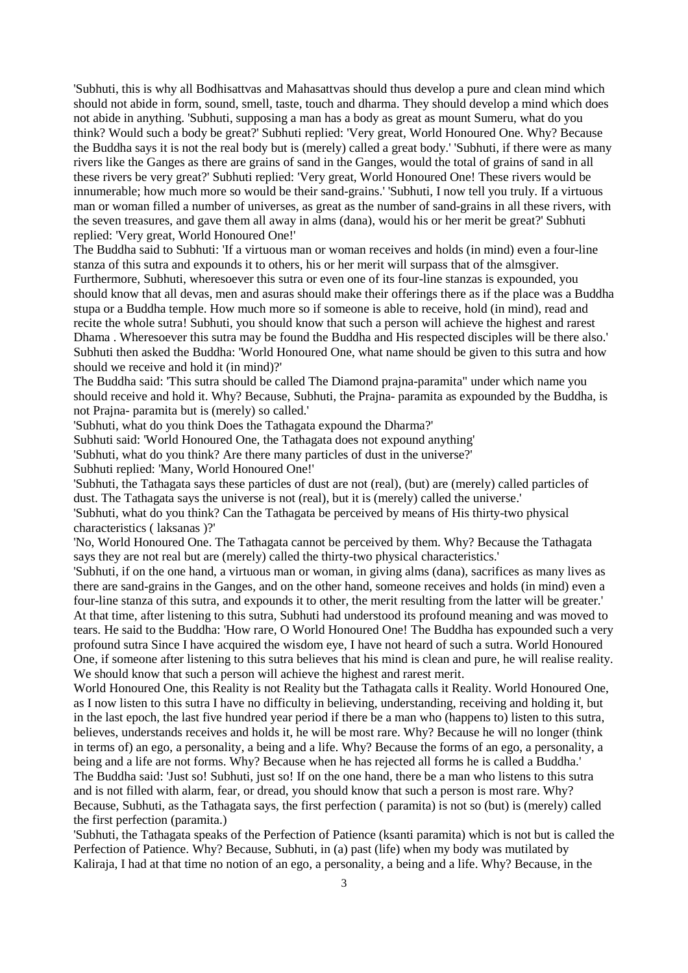'Subhuti, this is why all Bodhisattvas and Mahasattvas should thus develop a pure and clean mind which should not abide in form, sound, smell, taste, touch and dharma. They should develop a mind which does not abide in anything. 'Subhuti, supposing a man has a body as great as mount Sumeru, what do you think? Would such a body be great?' Subhuti replied: 'Very great, World Honoured One. Why? Because the Buddha says it is not the real body but is (merely) called a great body.' 'Subhuti, if there were as many rivers like the Ganges as there are grains of sand in the Ganges, would the total of grains of sand in all these rivers be very great?' Subhuti replied: 'Very great, World Honoured One! These rivers would be innumerable; how much more so would be their sand-grains.' 'Subhuti, I now tell you truly. If a virtuous man or woman filled a number of universes, as great as the number of sand-grains in all these rivers, with the seven treasures, and gave them all away in alms (dana), would his or her merit be great?' Subhuti replied: 'Very great, World Honoured One!'

The Buddha said to Subhuti: 'If a virtuous man or woman receives and holds (in mind) even a four-line stanza of this sutra and expounds it to others, his or her merit will surpass that of the almsgiver. Furthermore, Subhuti, wheresoever this sutra or even one of its four-line stanzas is expounded, you should know that all devas, men and asuras should make their offerings there as if the place was a Buddha stupa or a Buddha temple. How much more so if someone is able to receive, hold (in mind), read and recite the whole sutra! Subhuti, you should know that such a person will achieve the highest and rarest Dhama . Wheresoever this sutra may be found the Buddha and His respected disciples will be there also.' Subhuti then asked the Buddha: 'World Honoured One, what name should be given to this sutra and how should we receive and hold it (in mind)?'

The Buddha said: 'This sutra should be called The Diamond prajna-paramita" under which name you should receive and hold it. Why? Because, Subhuti, the Prajna- paramita as expounded by the Buddha, is not Prajna- paramita but is (merely) so called.'

'Subhuti, what do you think Does the Tathagata expound the Dharma?'

Subhuti said: 'World Honoured One, the Tathagata does not expound anything'

'Subhuti, what do you think? Are there many particles of dust in the universe?'

Subhuti replied: 'Many, World Honoured One!'

'Subhuti, the Tathagata says these particles of dust are not (real), (but) are (merely) called particles of dust. The Tathagata says the universe is not (real), but it is (merely) called the universe.'

'Subhuti, what do you think? Can the Tathagata be perceived by means of His thirty-two physical characteristics ( laksanas )?'

'No, World Honoured One. The Tathagata cannot be perceived by them. Why? Because the Tathagata says they are not real but are (merely) called the thirty-two physical characteristics.'

'Subhuti, if on the one hand, a virtuous man or woman, in giving alms (dana), sacrifices as many lives as there are sand-grains in the Ganges, and on the other hand, someone receives and holds (in mind) even a four-line stanza of this sutra, and expounds it to other, the merit resulting from the latter will be greater.' At that time, after listening to this sutra, Subhuti had understood its profound meaning and was moved to tears. He said to the Buddha: 'How rare, O World Honoured One! The Buddha has expounded such a very profound sutra Since I have acquired the wisdom eye, I have not heard of such a sutra. World Honoured One, if someone after listening to this sutra believes that his mind is clean and pure, he will realise reality. We should know that such a person will achieve the highest and rarest merit.

World Honoured One, this Reality is not Reality but the Tathagata calls it Reality. World Honoured One, as I now listen to this sutra I have no difficulty in believing, understanding, receiving and holding it, but in the last epoch, the last five hundred year period if there be a man who (happens to) listen to this sutra, believes, understands receives and holds it, he will be most rare. Why? Because he will no longer (think in terms of) an ego, a personality, a being and a life. Why? Because the forms of an ego, a personality, a being and a life are not forms. Why? Because when he has rejected all forms he is called a Buddha.' The Buddha said: 'Just so! Subhuti, just so! If on the one hand, there be a man who listens to this sutra and is not filled with alarm, fear, or dread, you should know that such a person is most rare. Why? Because, Subhuti, as the Tathagata says, the first perfection ( paramita) is not so (but) is (merely) called the first perfection (paramita.)

'Subhuti, the Tathagata speaks of the Perfection of Patience (ksanti paramita) which is not but is called the Perfection of Patience. Why? Because, Subhuti, in (a) past (life) when my body was mutilated by Kaliraja, I had at that time no notion of an ego, a personality, a being and a life. Why? Because, in the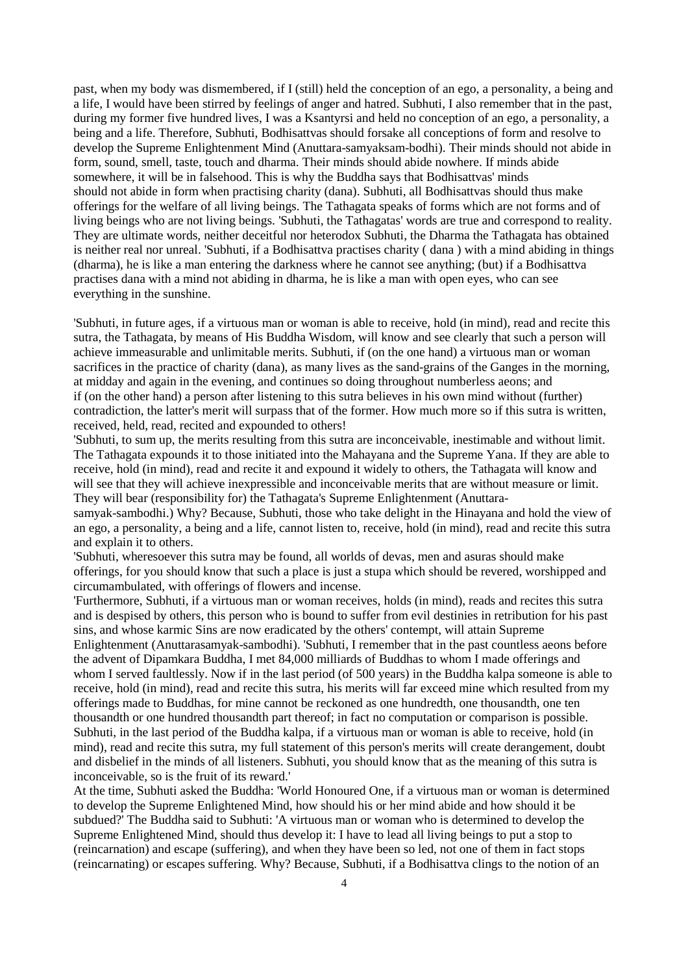past, when my body was dismembered, if I (still) held the conception of an ego, a personality, a being and a life, I would have been stirred by feelings of anger and hatred. Subhuti, I also remember that in the past, during my former five hundred lives, I was a Ksantyrsi and held no conception of an ego, a personality, a being and a life. Therefore, Subhuti, Bodhisattvas should forsake all conceptions of form and resolve to develop the Supreme Enlightenment Mind (Anuttara-samyaksam-bodhi). Their minds should not abide in form, sound, smell, taste, touch and dharma. Their minds should abide nowhere. If minds abide somewhere, it will be in falsehood. This is why the Buddha says that Bodhisattvas' minds should not abide in form when practising charity (dana). Subhuti, all Bodhisattvas should thus make offerings for the welfare of all living beings. The Tathagata speaks of forms which are not forms and of living beings who are not living beings. 'Subhuti, the Tathagatas' words are true and correspond to reality. They are ultimate words, neither deceitful nor heterodox Subhuti, the Dharma the Tathagata has obtained is neither real nor unreal. 'Subhuti, if a Bodhisattva practises charity ( dana ) with a mind abiding in things (dharma), he is like a man entering the darkness where he cannot see anything; (but) if a Bodhisattva practises dana with a mind not abiding in dharma, he is like a man with open eyes, who can see everything in the sunshine.

'Subhuti, in future ages, if a virtuous man or woman is able to receive, hold (in mind), read and recite this sutra, the Tathagata, by means of His Buddha Wisdom, will know and see clearly that such a person will achieve immeasurable and unlimitable merits. Subhuti, if (on the one hand) a virtuous man or woman sacrifices in the practice of charity (dana), as many lives as the sand-grains of the Ganges in the morning, at midday and again in the evening, and continues so doing throughout numberless aeons; and if (on the other hand) a person after listening to this sutra believes in his own mind without (further) contradiction, the latter's merit will surpass that of the former. How much more so if this sutra is written, received, held, read, recited and expounded to others!

'Subhuti, to sum up, the merits resulting from this sutra are inconceivable, inestimable and without limit. The Tathagata expounds it to those initiated into the Mahayana and the Supreme Yana. If they are able to receive, hold (in mind), read and recite it and expound it widely to others, the Tathagata will know and will see that they will achieve inexpressible and inconceivable merits that are without measure or limit. They will bear (responsibility for) the Tathagata's Supreme Enlightenment (Anuttara-

samyak-sambodhi.) Why? Because, Subhuti, those who take delight in the Hinayana and hold the view of an ego, a personality, a being and a life, cannot listen to, receive, hold (in mind), read and recite this sutra and explain it to others.

'Subhuti, wheresoever this sutra may be found, all worlds of devas, men and asuras should make offerings, for you should know that such a place is just a stupa which should be revered, worshipped and circumambulated, with offerings of flowers and incense.

'Furthermore, Subhuti, if a virtuous man or woman receives, holds (in mind), reads and recites this sutra and is despised by others, this person who is bound to suffer from evil destinies in retribution for his past sins, and whose karmic Sins are now eradicated by the others' contempt, will attain Supreme Enlightenment (Anuttarasamyak-sambodhi). 'Subhuti, I remember that in the past countless aeons before the advent of Dipamkara Buddha, I met 84,000 milliards of Buddhas to whom I made offerings and whom I served faultlessly. Now if in the last period (of 500 years) in the Buddha kalpa someone is able to receive, hold (in mind), read and recite this sutra, his merits will far exceed mine which resulted from my offerings made to Buddhas, for mine cannot be reckoned as one hundredth, one thousandth, one ten thousandth or one hundred thousandth part thereof; in fact no computation or comparison is possible. Subhuti, in the last period of the Buddha kalpa, if a virtuous man or woman is able to receive, hold (in mind), read and recite this sutra, my full statement of this person's merits will create derangement, doubt and disbelief in the minds of all listeners. Subhuti, you should know that as the meaning of this sutra is inconceivable, so is the fruit of its reward.'

At the time, Subhuti asked the Buddha: 'World Honoured One, if a virtuous man or woman is determined to develop the Supreme Enlightened Mind, how should his or her mind abide and how should it be subdued?' The Buddha said to Subhuti: 'A virtuous man or woman who is determined to develop the Supreme Enlightened Mind, should thus develop it: I have to lead all living beings to put a stop to (reincarnation) and escape (suffering), and when they have been so led, not one of them in fact stops (reincarnating) or escapes suffering. Why? Because, Subhuti, if a Bodhisattva clings to the notion of an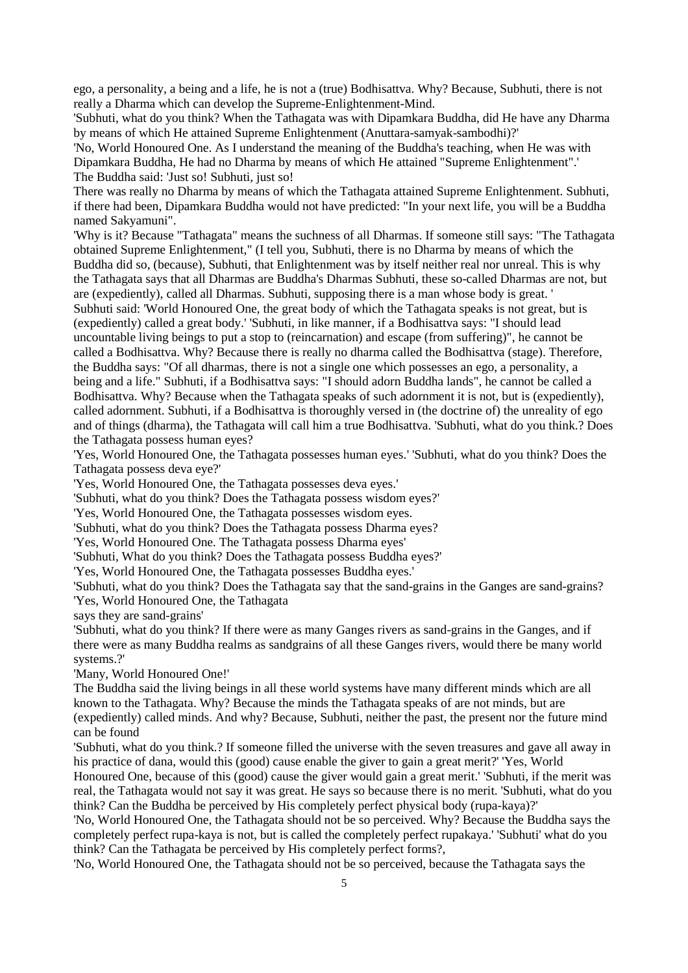ego, a personality, a being and a life, he is not a (true) Bodhisattva. Why? Because, Subhuti, there is not really a Dharma which can develop the Supreme-Enlightenment-Mind.

'Subhuti, what do you think? When the Tathagata was with Dipamkara Buddha, did He have any Dharma by means of which He attained Supreme Enlightenment (Anuttara-samyak-sambodhi)?'

'No, World Honoured One. As I understand the meaning of the Buddha's teaching, when He was with Dipamkara Buddha, He had no Dharma by means of which He attained "Supreme Enlightenment".' The Buddha said: 'Just so! Subhuti, just so!

There was really no Dharma by means of which the Tathagata attained Supreme Enlightenment. Subhuti, if there had been, Dipamkara Buddha would not have predicted: "In your next life, you will be a Buddha named Sakyamuni".

'Why is it? Because "Tathagata" means the suchness of all Dharmas. If someone still says: "The Tathagata obtained Supreme Enlightenment," (I tell you, Subhuti, there is no Dharma by means of which the Buddha did so, (because), Subhuti, that Enlightenment was by itself neither real nor unreal. This is why the Tathagata says that all Dharmas are Buddha's Dharmas Subhuti, these so-called Dharmas are not, but are (expediently), called all Dharmas. Subhuti, supposing there is a man whose body is great. '

Subhuti said: 'World Honoured One, the great body of which the Tathagata speaks is not great, but is (expediently) called a great body.' 'Subhuti, in like manner, if a Bodhisattva says: "I should lead uncountable living beings to put a stop to (reincarnation) and escape (from suffering)", he cannot be called a Bodhisattva. Why? Because there is really no dharma called the Bodhisattva (stage). Therefore, the Buddha says: "Of all dharmas, there is not a single one which possesses an ego, a personality, a being and a life." Subhuti, if a Bodhisattva says: "I should adorn Buddha lands", he cannot be called a Bodhisattva. Why? Because when the Tathagata speaks of such adornment it is not, but is (expediently), called adornment. Subhuti, if a Bodhisattva is thoroughly versed in (the doctrine of) the unreality of ego and of things (dharma), the Tathagata will call him a true Bodhisattva. 'Subhuti, what do you think.? Does the Tathagata possess human eyes?

'Yes, World Honoured One, the Tathagata possesses human eyes.' 'Subhuti, what do you think? Does the Tathagata possess deva eye?'

'Yes, World Honoured One, the Tathagata possesses deva eyes.'

'Subhuti, what do you think? Does the Tathagata possess wisdom eyes?'

'Yes, World Honoured One, the Tathagata possesses wisdom eyes.

'Subhuti, what do you think? Does the Tathagata possess Dharma eyes?

'Yes, World Honoured One. The Tathagata possess Dharma eyes'

'Subhuti, What do you think? Does the Tathagata possess Buddha eyes?'

'Yes, World Honoured One, the Tathagata possesses Buddha eyes.'

'Subhuti, what do you think? Does the Tathagata say that the sand-grains in the Ganges are sand-grains? 'Yes, World Honoured One, the Tathagata

says they are sand-grains'

'Subhuti, what do you think? If there were as many Ganges rivers as sand-grains in the Ganges, and if there were as many Buddha realms as sandgrains of all these Ganges rivers, would there be many world systems.?'

'Many, World Honoured One!'

The Buddha said the living beings in all these world systems have many different minds which are all known to the Tathagata. Why? Because the minds the Tathagata speaks of are not minds, but are (expediently) called minds. And why? Because, Subhuti, neither the past, the present nor the future mind can be found

'Subhuti, what do you think.? If someone filled the universe with the seven treasures and gave all away in his practice of dana, would this (good) cause enable the giver to gain a great merit?' 'Yes, World

Honoured One, because of this (good) cause the giver would gain a great merit.' 'Subhuti, if the merit was real, the Tathagata would not say it was great. He says so because there is no merit. 'Subhuti, what do you think? Can the Buddha be perceived by His completely perfect physical body (rupa-kaya)?'

'No, World Honoured One, the Tathagata should not be so perceived. Why? Because the Buddha says the completely perfect rupa-kaya is not, but is called the completely perfect rupakaya.' 'Subhuti' what do you think? Can the Tathagata be perceived by His completely perfect forms?,

'No, World Honoured One, the Tathagata should not be so perceived, because the Tathagata says the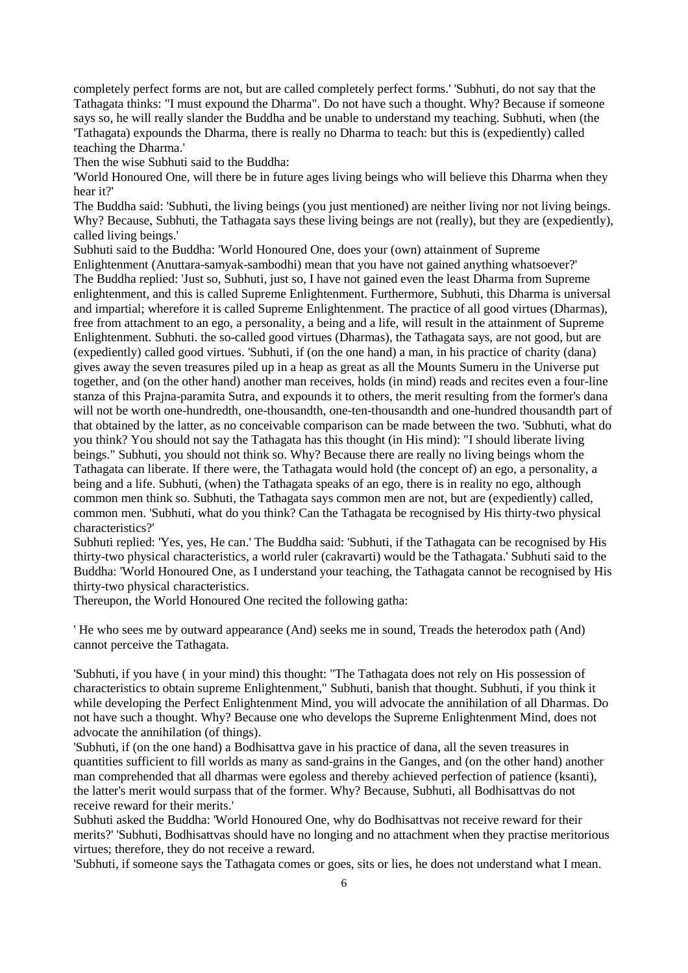completely perfect forms are not, but are called completely perfect forms.' 'Subhuti, do not say that the Tathagata thinks: "I must expound the Dharma". Do not have such a thought. Why? Because if someone says so, he will really slander the Buddha and be unable to understand my teaching. Subhuti, when (the 'Tathagata) expounds the Dharma, there is really no Dharma to teach: but this is (expediently) called teaching the Dharma.'

Then the wise Subhuti said to the Buddha:

'World Honoured One, will there be in future ages living beings who will believe this Dharma when they hear it?'

The Buddha said: 'Subhuti, the living beings (you just mentioned) are neither living nor not living beings. Why? Because, Subhuti, the Tathagata says these living beings are not (really), but they are (expediently), called living beings.'

Subhuti said to the Buddha: 'World Honoured One, does your (own) attainment of Supreme

Enlightenment (Anuttara-samyak-sambodhi) mean that you have not gained anything whatsoever?' The Buddha replied: 'Just so, Subhuti, just so, I have not gained even the least Dharma from Supreme enlightenment, and this is called Supreme Enlightenment. Furthermore, Subhuti, this Dharma is universal and impartial; wherefore it is called Supreme Enlightenment. The practice of all good virtues (Dharmas), free from attachment to an ego, a personality, a being and a life, will result in the attainment of Supreme Enlightenment. Subhuti. the so-called good virtues (Dharmas), the Tathagata says, are not good, but are (expediently) called good virtues. 'Subhuti, if (on the one hand) a man, in his practice of charity (dana) gives away the seven treasures piled up in a heap as great as all the Mounts Sumeru in the Universe put together, and (on the other hand) another man receives, holds (in mind) reads and recites even a four-line stanza of this Prajna-paramita Sutra, and expounds it to others, the merit resulting from the former's dana will not be worth one-hundredth, one-thousandth, one-ten-thousandth and one-hundred thousandth part of that obtained by the latter, as no conceivable comparison can be made between the two. 'Subhuti, what do you think? You should not say the Tathagata has this thought (in His mind): "I should liberate living beings." Subhuti, you should not think so. Why? Because there are really no living beings whom the Tathagata can liberate. If there were, the Tathagata would hold (the concept of) an ego, a personality, a being and a life. Subhuti, (when) the Tathagata speaks of an ego, there is in reality no ego, although common men think so. Subhuti, the Tathagata says common men are not, but are (expediently) called, common men. 'Subhuti, what do you think? Can the Tathagata be recognised by His thirty-two physical characteristics?'

Subhuti replied: 'Yes, yes, He can.' The Buddha said: 'Subhuti, if the Tathagata can be recognised by His thirty-two physical characteristics, a world ruler (cakravarti) would be the Tathagata.' Subhuti said to the Buddha: 'World Honoured One, as I understand your teaching, the Tathagata cannot be recognised by His thirty-two physical characteristics.

Thereupon, the World Honoured One recited the following gatha:

' He who sees me by outward appearance (And) seeks me in sound, Treads the heterodox path (And) cannot perceive the Tathagata.

'Subhuti, if you have ( in your mind) this thought: "The Tathagata does not rely on His possession of characteristics to obtain supreme Enlightenment," Subhuti, banish that thought. Subhuti, if you think it while developing the Perfect Enlightenment Mind, you will advocate the annihilation of all Dharmas. Do not have such a thought. Why? Because one who develops the Supreme Enlightenment Mind, does not advocate the annihilation (of things).

'Subhuti, if (on the one hand) a Bodhisattva gave in his practice of dana, all the seven treasures in quantities sufficient to fill worlds as many as sand-grains in the Ganges, and (on the other hand) another man comprehended that all dharmas were egoless and thereby achieved perfection of patience (ksanti), the latter's merit would surpass that of the former. Why? Because, Subhuti, all Bodhisattvas do not receive reward for their merits.'

Subhuti asked the Buddha: 'World Honoured One, why do Bodhisattvas not receive reward for their merits?' 'Subhuti, Bodhisattvas should have no longing and no attachment when they practise meritorious virtues; therefore, they do not receive a reward.

'Subhuti, if someone says the Tathagata comes or goes, sits or lies, he does not understand what I mean.